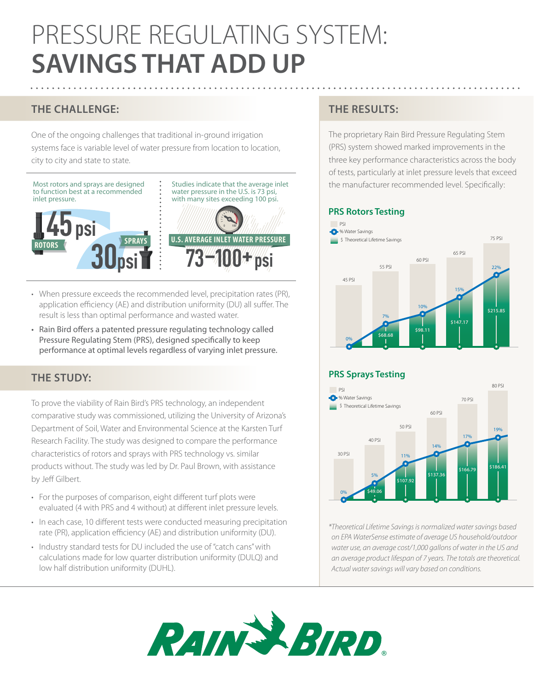# PRESSURE REGULATING SYSTEM: **SAVINGS THAT ADD UP**

# **THE CHALLENGE:**

One of the ongoing challenges that traditional in-ground irrigation systems face is variable level of water pressure from location to location, city to city and state to state.



- When pressure exceeds the recommended level, precipitation rates (PR), application efficiency (AE) and distribution uniformity (DU) all suffer. The result is less than optimal performance and wasted water.
- Rain Bird offers a patented pressure regulating technology called Pressure Regulating Stem (PRS), designed specifically to keep performance at optimal levels regardless of varying inlet pressure.

## **THE STUDY:**

To prove the viability of Rain Bird's PRS technology, an independent comparative study was commissioned, utilizing the University of Arizona's Department of Soil, Water and Environmental Science at the Karsten Turf Research Facility. The study was designed to compare the performance characteristics of rotors and sprays with PRS technology vs. similar products without. The study was led by Dr. Paul Brown, with assistance by Jeff Gilbert.  $\overline{1}$  Psi

- For the purposes of comparison, eight different turf plots were evaluated (4 with PRS and 4 without) at different inlet pressure levels.
- In each case, 10 different tests were conducted measuring precipitation rate (PR), application efficiency (AE) and distribution uniformity (DU).
- Industry standard tests for DU included the use of "catch cans" with calculations made for low quarter distribution uniformity (DULQ) and low half distribution uniformity (DUHL).

# **THE RESULTS:**

The proprietary Rain Bird Pressure Regulating Stem (PRS) system showed marked improvements in the three key performance characteristics across the body of tests, particularly at inlet pressure levels that exceed the manufacturer recommended level. Specifically:

#### **PRS Rotors Testing**



### **PRS Sprays Testing**



*\*Theoretical Lifetime Savings is normalized water savings based on EPA WaterSense estimate of average US household/outdoor water use, an average cost/1,000 gallons of water in the US and an average product lifespan of 7 years. The totals are theoretical. Actual water savings will vary based on conditions.*